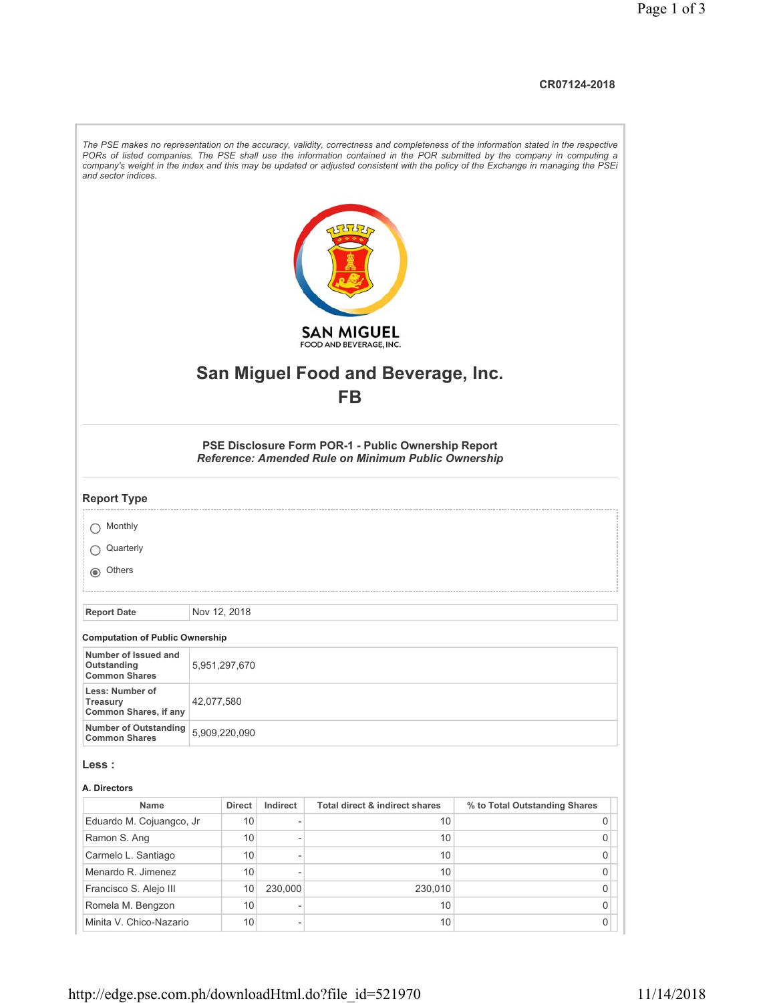## **CR07124-2018**

| and sector indices.                                         |               |                     |                          |                                                                                                            | The PSE makes no representation on the accuracy, validity, correctness and completeness of the information stated in the respective<br>PORs of listed companies. The PSE shall use the information contained in the POR submitted by the company in computing a<br>company's weight in the index and this may be updated or adjusted consistent with the policy of the Exchange in managing the PSEi |
|-------------------------------------------------------------|---------------|---------------------|--------------------------|------------------------------------------------------------------------------------------------------------|------------------------------------------------------------------------------------------------------------------------------------------------------------------------------------------------------------------------------------------------------------------------------------------------------------------------------------------------------------------------------------------------------|
|                                                             |               |                     |                          | <b>SAN MIGUEL</b>                                                                                          |                                                                                                                                                                                                                                                                                                                                                                                                      |
|                                                             |               |                     |                          | FOOD AND BEVERAGE, INC.                                                                                    |                                                                                                                                                                                                                                                                                                                                                                                                      |
|                                                             |               |                     |                          |                                                                                                            |                                                                                                                                                                                                                                                                                                                                                                                                      |
|                                                             |               |                     |                          | <b>San Miguel Food and Beverage, Inc.</b>                                                                  |                                                                                                                                                                                                                                                                                                                                                                                                      |
|                                                             |               |                     |                          | <b>FB</b>                                                                                                  |                                                                                                                                                                                                                                                                                                                                                                                                      |
|                                                             |               |                     |                          |                                                                                                            |                                                                                                                                                                                                                                                                                                                                                                                                      |
|                                                             |               |                     |                          | PSE Disclosure Form POR-1 - Public Ownership Report<br>Reference: Amended Rule on Minimum Public Ownership |                                                                                                                                                                                                                                                                                                                                                                                                      |
| <b>Report Type</b>                                          |               |                     |                          |                                                                                                            |                                                                                                                                                                                                                                                                                                                                                                                                      |
| Monthly                                                     |               |                     |                          |                                                                                                            |                                                                                                                                                                                                                                                                                                                                                                                                      |
| Quarterly                                                   |               |                     |                          |                                                                                                            |                                                                                                                                                                                                                                                                                                                                                                                                      |
| o Others                                                    |               |                     |                          |                                                                                                            |                                                                                                                                                                                                                                                                                                                                                                                                      |
|                                                             |               |                     |                          |                                                                                                            |                                                                                                                                                                                                                                                                                                                                                                                                      |
| <b>Report Date</b>                                          | Nov 12, 2018  |                     |                          |                                                                                                            |                                                                                                                                                                                                                                                                                                                                                                                                      |
|                                                             |               |                     |                          |                                                                                                            |                                                                                                                                                                                                                                                                                                                                                                                                      |
| <b>Computation of Public Ownership</b>                      |               |                     |                          |                                                                                                            |                                                                                                                                                                                                                                                                                                                                                                                                      |
| Number of Issued and<br>Outstanding<br><b>Common Shares</b> | 5,951,297,670 |                     |                          |                                                                                                            |                                                                                                                                                                                                                                                                                                                                                                                                      |
| Less: Number of<br>Treasury<br>Common Shares, if any        | 42,077,580    |                     |                          |                                                                                                            |                                                                                                                                                                                                                                                                                                                                                                                                      |
| <b>Number of Outstanding</b><br><b>Common Shares</b>        | 5,909,220,090 |                     |                          |                                                                                                            |                                                                                                                                                                                                                                                                                                                                                                                                      |
| Less :                                                      |               |                     |                          |                                                                                                            |                                                                                                                                                                                                                                                                                                                                                                                                      |
|                                                             |               |                     |                          |                                                                                                            |                                                                                                                                                                                                                                                                                                                                                                                                      |
| A. Directors<br>Name                                        |               |                     |                          |                                                                                                            |                                                                                                                                                                                                                                                                                                                                                                                                      |
| Eduardo M. Cojuangco, Jr                                    |               | <b>Direct</b><br>10 | Indirect                 | Total direct & indirect shares<br>10                                                                       | % to Total Outstanding Shares<br>0                                                                                                                                                                                                                                                                                                                                                                   |
| Ramon S. Ang                                                |               | 10                  | $\overline{\phantom{a}}$ | 10                                                                                                         | 0                                                                                                                                                                                                                                                                                                                                                                                                    |
| Carmelo L. Santiago                                         |               | 10                  | $\overline{a}$           | 10                                                                                                         | 0                                                                                                                                                                                                                                                                                                                                                                                                    |
| Menardo R. Jimenez                                          |               | 10                  |                          | 10                                                                                                         | 0                                                                                                                                                                                                                                                                                                                                                                                                    |
| Francisco S. Alejo III                                      |               | 10                  | 230,000                  | 230,010                                                                                                    | 0                                                                                                                                                                                                                                                                                                                                                                                                    |
| Romela M. Bengzon                                           |               | 10                  |                          | 10                                                                                                         | 0                                                                                                                                                                                                                                                                                                                                                                                                    |
| Minita V. Chico-Nazario                                     |               | 10                  | $\overline{\phantom{a}}$ | 10                                                                                                         | 0                                                                                                                                                                                                                                                                                                                                                                                                    |
|                                                             |               |                     |                          |                                                                                                            |                                                                                                                                                                                                                                                                                                                                                                                                      |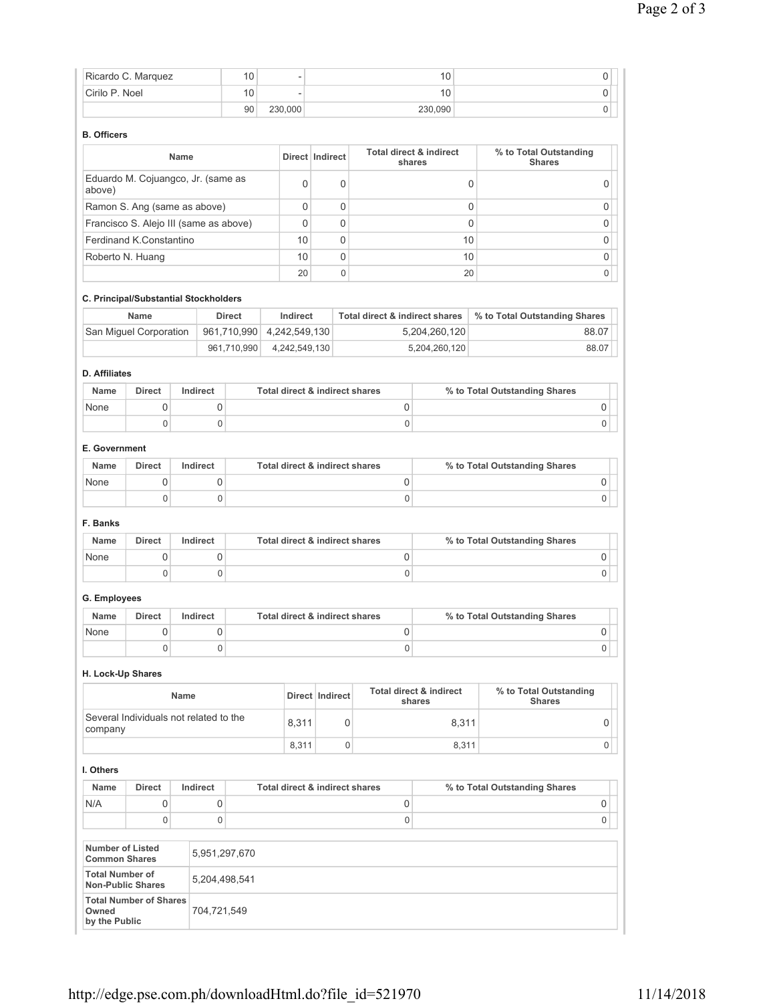|                                                | Ricardo C. Marquez                                        |             |             | 10            |                                |                 |             |                                           | 10                                |             |                                         | 0           |
|------------------------------------------------|-----------------------------------------------------------|-------------|-------------|---------------|--------------------------------|-----------------|-------------|-------------------------------------------|-----------------------------------|-------------|-----------------------------------------|-------------|
| Cirilo P. Noel                                 |                                                           |             |             | 10            |                                |                 |             |                                           | 10                                |             |                                         | 0           |
|                                                |                                                           |             |             | 90            | 230,000                        |                 |             |                                           | 230,090                           |             |                                         | 0           |
| <b>B.</b> Officers                             |                                                           |             |             |               |                                |                 |             |                                           |                                   |             |                                         |             |
|                                                |                                                           | Name        |             |               | Direct Indirect                |                 |             | Total direct & indirect                   | shares                            |             | % to Total Outstanding<br><b>Shares</b> |             |
| above)                                         | Eduardo M. Cojuangco, Jr. (same as                        |             |             |               | 0                              |                 | 0           |                                           |                                   | 0           |                                         | 0           |
|                                                | Ramon S. Ang (same as above)                              |             |             |               | 0                              |                 | $\mathbf 0$ |                                           |                                   | $\mathbf 0$ |                                         | 0           |
|                                                | Francisco S. Alejo III (same as above)                    |             |             |               | 0                              |                 | $\mathbf 0$ |                                           |                                   | $\mathbf 0$ |                                         | 0           |
|                                                | Ferdinand K.Constantino                                   |             |             |               | 10                             |                 | $\Omega$    |                                           |                                   | 10          |                                         | 0           |
|                                                | Roberto N. Huang                                          |             |             |               | 10                             |                 | 0           |                                           |                                   | 10          |                                         | 0           |
|                                                |                                                           |             |             |               | 20                             |                 | 0           |                                           |                                   | 20          |                                         | 0           |
|                                                | C. Principal/Substantial Stockholders                     |             |             |               |                                |                 |             |                                           |                                   |             |                                         |             |
|                                                | <b>Name</b>                                               |             |             | <b>Direct</b> | Indirect                       |                 |             | <b>Total direct &amp; indirect shares</b> |                                   |             | % to Total Outstanding Shares           |             |
|                                                | San Miguel Corporation                                    |             |             | 961,710,990   | 4,242,549,130                  |                 |             |                                           | 5,204,260,120                     |             |                                         | 88.07       |
|                                                |                                                           |             |             | 961,710,990   | 4,242,549,130                  |                 |             |                                           | 5,204,260,120                     |             |                                         | 88.07       |
| <b>D.</b> Affiliates                           |                                                           |             |             |               |                                |                 |             |                                           |                                   |             |                                         |             |
| <b>Name</b>                                    | <b>Direct</b>                                             | Indirect    |             |               | Total direct & indirect shares |                 |             |                                           |                                   |             | % to Total Outstanding Shares           |             |
| None                                           | 0                                                         |             | 0           |               |                                |                 |             | 0                                         |                                   |             |                                         | 0           |
|                                                | $\mathbf 0$                                               |             | 0           |               |                                |                 |             | 0                                         |                                   |             |                                         | $\mathbf 0$ |
| E. Government                                  |                                                           |             |             |               |                                |                 |             |                                           |                                   |             |                                         |             |
| Name                                           | <b>Direct</b>                                             | Indirect    |             |               | Total direct & indirect shares |                 |             |                                           |                                   |             | % to Total Outstanding Shares           |             |
| None                                           | 0                                                         |             | 0           |               |                                |                 |             | 0                                         |                                   |             |                                         | 0           |
|                                                | $\mathbf 0$                                               |             | 0           |               |                                |                 |             | 0                                         |                                   |             |                                         | 0           |
| F. Banks                                       |                                                           |             |             |               |                                |                 |             |                                           |                                   |             |                                         |             |
| Name                                           | <b>Direct</b>                                             | Indirect    |             |               | Total direct & indirect shares |                 |             |                                           |                                   |             | % to Total Outstanding Shares           |             |
| None                                           | 0                                                         |             | 0           |               |                                |                 |             | 0                                         |                                   |             |                                         | 0           |
|                                                | $\mathbf 0$                                               |             | $\mathbf 0$ |               |                                |                 |             | 0                                         |                                   |             |                                         | 0           |
| G. Employees                                   |                                                           |             |             |               |                                |                 |             |                                           |                                   |             |                                         |             |
| Name                                           | <b>Direct</b>                                             | Indirect    |             |               | Total direct & indirect shares |                 |             |                                           |                                   |             | % to Total Outstanding Shares           |             |
| None                                           | 0                                                         |             | 0           |               |                                |                 |             | 0                                         |                                   |             |                                         | 0           |
|                                                | $\mathbf 0$                                               |             | 0           |               |                                |                 |             | 0                                         |                                   |             |                                         | 0           |
| H. Lock-Up Shares                              |                                                           |             |             |               |                                |                 |             |                                           |                                   |             |                                         |             |
|                                                |                                                           | <b>Name</b> |             |               |                                | Direct Indirect |             |                                           | Total direct & indirect<br>shares |             | % to Total Outstanding<br><b>Shares</b> |             |
|                                                | Several Individuals not related to the                    |             |             |               | 8,311                          |                 | 0           |                                           |                                   | 8,311       |                                         | 0           |
| company                                        |                                                           |             |             |               | 8,311                          |                 | $\mathbf 0$ |                                           |                                   | 8,311       |                                         | 0           |
| I. Others                                      |                                                           |             |             |               |                                |                 |             |                                           |                                   |             |                                         |             |
| Name                                           | Direct                                                    | Indirect    |             |               | Total direct & indirect shares |                 |             |                                           |                                   |             | % to Total Outstanding Shares           |             |
| N/A                                            | 0                                                         |             | 0           |               |                                |                 |             | $\mathsf 0$                               |                                   |             |                                         | 0           |
|                                                | $\mathbf 0$                                               |             | 0           |               |                                |                 |             | 0                                         |                                   |             |                                         | $\mathbf 0$ |
| <b>Number of Listed</b>                        |                                                           |             |             |               |                                |                 |             |                                           |                                   |             |                                         |             |
| <b>Common Shares</b><br><b>Total Number of</b> |                                                           |             |             | 5,951,297,670 |                                |                 |             |                                           |                                   |             |                                         |             |
|                                                | <b>Non-Public Shares</b><br><b>Total Number of Shares</b> |             |             | 5,204,498,541 |                                |                 |             |                                           |                                   |             |                                         |             |
| Owned<br>by the Public                         |                                                           |             | 704,721,549 |               |                                |                 |             |                                           |                                   |             |                                         |             |